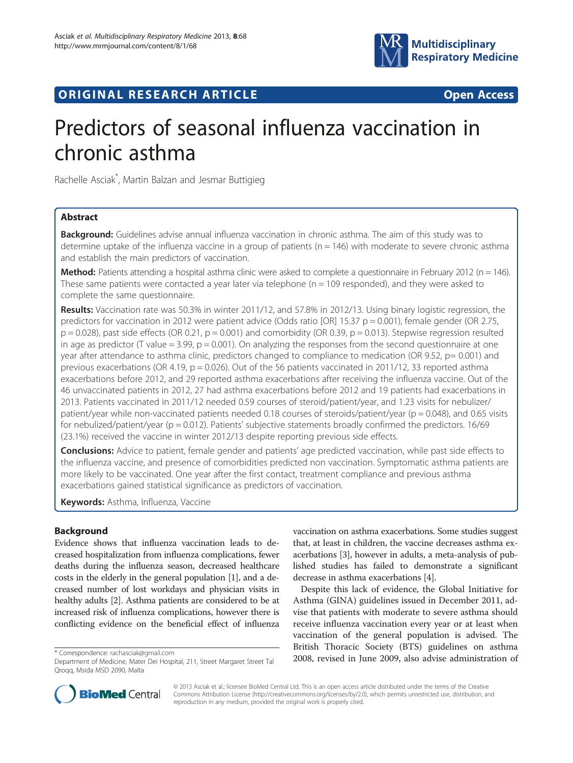

# **ORIGINAL RESEARCH ARTICLE CONSUMING ACCESS**

# Predictors of seasonal influenza vaccination in chronic asthma

Rachelle Asciak\* , Martin Balzan and Jesmar Buttigieg

# Abstract

**Background:** Guidelines advise annual influenza vaccination in chronic asthma. The aim of this study was to determine uptake of the influenza vaccine in a group of patients ( $n = 146$ ) with moderate to severe chronic asthma and establish the main predictors of vaccination.

**Method:** Patients attending a hospital asthma clinic were asked to complete a questionnaire in February 2012 (n = 146). These same patients were contacted a year later via telephone ( $n = 109$  responded), and they were asked to complete the same questionnaire.

Results: Vaccination rate was 50.3% in winter 2011/12, and 57.8% in 2012/13. Using binary logistic regression, the predictors for vaccination in 2012 were patient advice (Odds ratio [OR] 15.37  $p = 0.001$ ), female gender (OR 2.75,  $p = 0.028$ ), past side effects (OR 0.21,  $p = 0.001$ ) and comorbidity (OR 0.39,  $p = 0.013$ ). Stepwise regression resulted in age as predictor (T value = 3.99,  $p = 0.001$ ). On analyzing the responses from the second questionnaire at one year after attendance to asthma clinic, predictors changed to compliance to medication (OR 9.52, p= 0.001) and previous exacerbations (OR 4.19,  $p = 0.026$ ). Out of the 56 patients vaccinated in 2011/12, 33 reported asthma exacerbations before 2012, and 29 reported asthma exacerbations after receiving the influenza vaccine. Out of the 46 unvaccinated patients in 2012, 27 had asthma exacerbations before 2012 and 19 patients had exacerbations in 2013. Patients vaccinated in 2011/12 needed 0.59 courses of steroid/patient/year, and 1.23 visits for nebulizer/ patient/year while non-vaccinated patients needed 0.18 courses of steroids/patient/year (p = 0.048), and 0.65 visits for nebulized/patient/year (p = 0.012). Patients' subjective statements broadly confirmed the predictors. 16/69 (23.1%) received the vaccine in winter 2012/13 despite reporting previous side effects.

**Conclusions:** Advice to patient, female gender and patients' age predicted vaccination, while past side effects to the influenza vaccine, and presence of comorbidities predicted non vaccination. Symptomatic asthma patients are more likely to be vaccinated. One year after the first contact, treatment compliance and previous asthma exacerbations gained statistical significance as predictors of vaccination.

Keywords: Asthma, Influenza, Vaccine

# Background

Evidence shows that influenza vaccination leads to decreased hospitalization from influenza complications, fewer deaths during the influenza season, decreased healthcare costs in the elderly in the general population [\[1\]](#page-5-0), and a decreased number of lost workdays and physician visits in healthy adults [\[2\]](#page-5-0). Asthma patients are considered to be at increased risk of influenza complications, however there is conflicting evidence on the beneficial effect of influenza

vaccination on asthma exacerbations. Some studies suggest that, at least in children, the vaccine decreases asthma exacerbations [\[3\]](#page-5-0), however in adults, a meta-analysis of published studies has failed to demonstrate a significant decrease in asthma exacerbations [[4](#page-5-0)].

Despite this lack of evidence, the Global Initiative for Asthma (GINA) guidelines issued in December 2011, advise that patients with moderate to severe asthma should receive influenza vaccination every year or at least when vaccination of the general population is advised. The British Thoracic Society (BTS) guidelines on asthma 2008, revised in June 2009, also advise administration of \* Correspondence: [rachasciak@gmail.com](mailto:rachasciak@gmail.com)



© 2013 Asciak et al.; licensee BioMed Central Ltd. This is an open access article distributed under the terms of the Creative Commons Attribution License [\(http://creativecommons.org/licenses/by/2.0\)](http://creativecommons.org/licenses/by/2.0), which permits unrestricted use, distribution, and reproduction in any medium, provided the original work is properly cited.

Department of Medicine, Mater Dei Hospital, 211, Street Margaret Street Tal Qroqq, Msida MSD 2090, Malta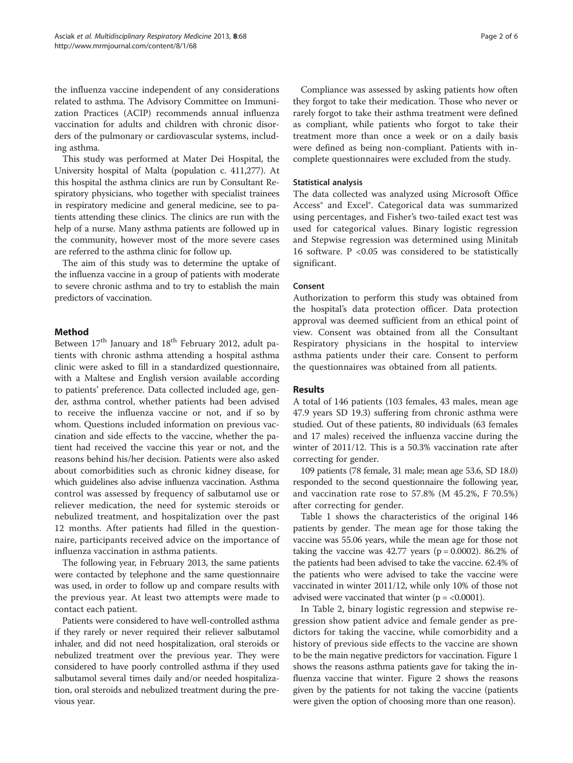the influenza vaccine independent of any considerations related to asthma. The Advisory Committee on Immunization Practices (ACIP) recommends annual influenza vaccination for adults and children with chronic disorders of the pulmonary or cardiovascular systems, including asthma.

This study was performed at Mater Dei Hospital, the University hospital of Malta (population c. 411,277). At this hospital the asthma clinics are run by Consultant Respiratory physicians, who together with specialist trainees in respiratory medicine and general medicine, see to patients attending these clinics. The clinics are run with the help of a nurse. Many asthma patients are followed up in the community, however most of the more severe cases are referred to the asthma clinic for follow up.

The aim of this study was to determine the uptake of the influenza vaccine in a group of patients with moderate to severe chronic asthma and to try to establish the main predictors of vaccination.

### Method

Between  $17<sup>th</sup>$  January and  $18<sup>th</sup>$  February 2012, adult patients with chronic asthma attending a hospital asthma clinic were asked to fill in a standardized questionnaire, with a Maltese and English version available according to patients' preference. Data collected included age, gender, asthma control, whether patients had been advised to receive the influenza vaccine or not, and if so by whom. Questions included information on previous vaccination and side effects to the vaccine, whether the patient had received the vaccine this year or not, and the reasons behind his/her decision. Patients were also asked about comorbidities such as chronic kidney disease, for which guidelines also advise influenza vaccination. Asthma control was assessed by frequency of salbutamol use or reliever medication, the need for systemic steroids or nebulized treatment, and hospitalization over the past 12 months. After patients had filled in the questionnaire, participants received advice on the importance of influenza vaccination in asthma patients.

The following year, in February 2013, the same patients were contacted by telephone and the same questionnaire was used, in order to follow up and compare results with the previous year. At least two attempts were made to contact each patient.

Patients were considered to have well-controlled asthma if they rarely or never required their reliever salbutamol inhaler, and did not need hospitalization, oral steroids or nebulized treatment over the previous year. They were considered to have poorly controlled asthma if they used salbutamol several times daily and/or needed hospitalization, oral steroids and nebulized treatment during the previous year.

Compliance was assessed by asking patients how often they forgot to take their medication. Those who never or rarely forgot to take their asthma treatment were defined as compliant, while patients who forgot to take their treatment more than once a week or on a daily basis were defined as being non-compliant. Patients with incomplete questionnaires were excluded from the study.

### Statistical analysis

The data collected was analyzed using Microsoft Office Access® and Excel®. Categorical data was summarized using percentages, and Fisher's two-tailed exact test was used for categorical values. Binary logistic regression and Stepwise regression was determined using Minitab 16 software.  $P < 0.05$  was considered to be statistically significant.

# Consent

Authorization to perform this study was obtained from the hospital's data protection officer. Data protection approval was deemed sufficient from an ethical point of view. Consent was obtained from all the Consultant Respiratory physicians in the hospital to interview asthma patients under their care. Consent to perform the questionnaires was obtained from all patients.

# Results

A total of 146 patients (103 females, 43 males, mean age 47.9 years SD 19.3) suffering from chronic asthma were studied. Out of these patients, 80 individuals (63 females and 17 males) received the influenza vaccine during the winter of 2011/12. This is a 50.3% vaccination rate after correcting for gender.

109 patients (78 female, 31 male; mean age 53.6, SD 18.0) responded to the second questionnaire the following year, and vaccination rate rose to 57.8% (M 45.2%, F 70.5%) after correcting for gender.

Table [1](#page-2-0) shows the characteristics of the original 146 patients by gender. The mean age for those taking the vaccine was 55.06 years, while the mean age for those not taking the vaccine was 42.77 years ( $p = 0.0002$ ). 86.2% of the patients had been advised to take the vaccine. 62.4% of the patients who were advised to take the vaccine were vaccinated in winter 2011/12, while only 10% of those not advised were vaccinated that winter  $(p = < 0.0001)$ .

In Table [2,](#page-2-0) binary logistic regression and stepwise regression show patient advice and female gender as predictors for taking the vaccine, while comorbidity and a history of previous side effects to the vaccine are shown to be the main negative predictors for vaccination. Figure [1](#page-3-0) shows the reasons asthma patients gave for taking the influenza vaccine that winter. Figure [2](#page-3-0) shows the reasons given by the patients for not taking the vaccine (patients were given the option of choosing more than one reason).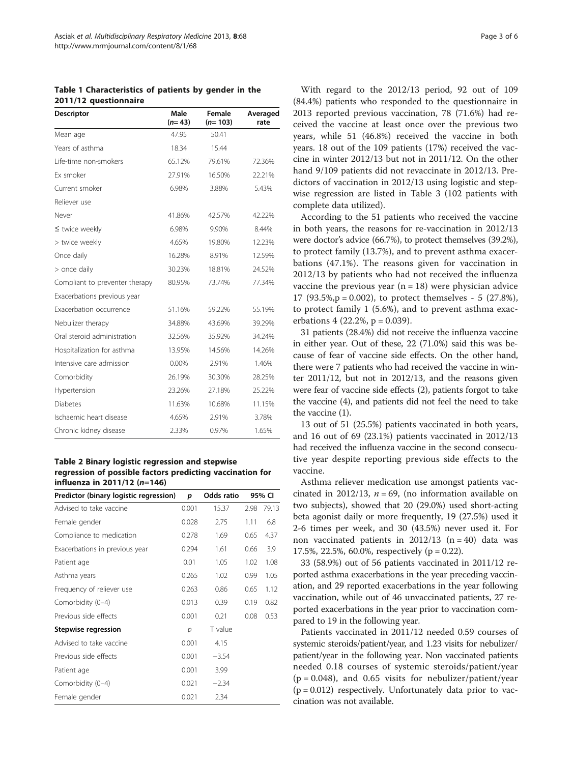<span id="page-2-0"></span>Table 1 Characteristics of patients by gender in the 2011/12 questionnaire

| Descriptor                     | Male<br>$(n=43)$ | Female<br>$(n=103)$ | Averaged<br>rate |
|--------------------------------|------------------|---------------------|------------------|
| Mean age                       | 47.95            | 50.41               |                  |
| Years of asthma                | 18.34            | 15.44               |                  |
| Life-time non-smokers          | 65.12%           | 79.61%              | 72.36%           |
| <b>Fx smoker</b>               | 27.91%           | 16.50%              | 22.21%           |
| Current smoker                 | 6.98%            | 3.88%               | 5.43%            |
| Reliever use                   |                  |                     |                  |
| Never                          | 41.86%           | 42.57%              | 42.22%           |
| $\leq$ twice weekly            | 6.98%            | 9.90%               | 8.44%            |
| > twice weekly                 | 4.65%            | 19.80%              | 12.23%           |
| Once daily                     | 16.28%           | 8.91%               | 12.59%           |
| > once daily                   | 30.23%           | 18.81%              | 24.52%           |
| Compliant to preventer therapy | 80.95%           | 73.74%              | 77.34%           |
| Exacerbations previous year    |                  |                     |                  |
| Exacerbation occurrence        | 51.16%           | 59.22%              | 55.19%           |
| Nebulizer therapy              | 34.88%           | 43.69%              | 39.29%           |
| Oral steroid administration    | 32.56%           | 35.92%              | 34.24%           |
| Hospitalization for asthma     | 13.95%           | 14.56%              | 14.26%           |
| Intensive care admission       | 0.00%            | 2.91%               | 1.46%            |
| Comorbidity                    | 26.19%           | 30.30%              | 28.25%           |
| Hypertension                   | 23.26%           | 27.18%              | 25.22%           |
| <b>Diabetes</b>                | 11.63%           | 10.68%              | 11.15%           |
| Ischaemic heart disease        | 4.65%            | 2.91%               | 3.78%            |
| Chronic kidney disease         | 2.33%            | 0.97%               | 1.65%            |

Table 2 Binary logistic regression and stepwise regression of possible factors predicting vaccination for influenza in 2011/12 (n=146)

| Predictor (binary logistic regression) | p     | <b>Odds ratio</b> |      | 95% CI |
|----------------------------------------|-------|-------------------|------|--------|
| Advised to take vaccine                | 0.001 | 15.37             | 2.98 | 79.13  |
| Female gender                          | 0.028 | 2.75              | 1.11 | 6.8    |
| Compliance to medication               | 0.278 | 1.69              | 0.65 | 4.37   |
| Exacerbations in previous year         | 0.294 | 1.61              | 0.66 | 3.9    |
| Patient age                            | 0.01  | 1.05              | 1.02 | 1.08   |
| Asthma years                           | 0.265 | 1.02              | 0.99 | 1.05   |
| Frequency of reliever use              | 0.263 | 0.86              | 0.65 | 1.12   |
| Comorbidity (0-4)                      | 0.013 | 0.39              | 0.19 | 0.82   |
| Previous side effects                  | 0.001 | 0.21              | 0.08 | 0.53   |
| <b>Stepwise regression</b>             | р     | T value           |      |        |
| Advised to take vaccine                | 0.001 | 4.15              |      |        |
| Previous side effects                  | 0.001 | $-3.54$           |      |        |
| Patient age                            | 0.001 | 3.99              |      |        |
| Comorbidity (0-4)                      | 0.021 | $-2.34$           |      |        |
| Female gender                          | 0.021 | 2.34              |      |        |

With regard to the 2012/13 period, 92 out of 109 (84.4%) patients who responded to the questionnaire in 2013 reported previous vaccination, 78 (71.6%) had received the vaccine at least once over the previous two years, while 51 (46.8%) received the vaccine in both years. 18 out of the 109 patients (17%) received the vaccine in winter 2012/13 but not in 2011/12. On the other hand 9/109 patients did not revaccinate in 2012/13. Predictors of vaccination in 2012/13 using logistic and stepwise regression are listed in Table [3](#page-4-0) (102 patients with complete data utilized).

According to the 51 patients who received the vaccine in both years, the reasons for re-vaccination in 2012/13 were doctor's advice (66.7%), to protect themselves (39.2%), to protect family (13.7%), and to prevent asthma exacerbations (47.1%). The reasons given for vaccination in 2012/13 by patients who had not received the influenza vaccine the previous year  $(n = 18)$  were physician advice 17 (93.5%, $p = 0.002$ ), to protect themselves - 5 (27.8%), to protect family 1 (5.6%), and to prevent asthma exacerbations 4 (22.2%,  $p = 0.039$ ).

31 patients (28.4%) did not receive the influenza vaccine in either year. Out of these, 22 (71.0%) said this was because of fear of vaccine side effects. On the other hand, there were 7 patients who had received the vaccine in winter 2011/12, but not in 2012/13, and the reasons given were fear of vaccine side effects (2), patients forgot to take the vaccine (4), and patients did not feel the need to take the vaccine (1).

13 out of 51 (25.5%) patients vaccinated in both years, and 16 out of 69 (23.1%) patients vaccinated in 2012/13 had received the influenza vaccine in the second consecutive year despite reporting previous side effects to the vaccine.

Asthma reliever medication use amongst patients vaccinated in 2012/13,  $n = 69$ , (no information available on two subjects), showed that 20 (29.0%) used short-acting beta agonist daily or more frequently, 19 (27.5%) used it 2-6 times per week, and 30 (43.5%) never used it. For non vaccinated patients in  $2012/13$  (n = 40) data was 17.5%, 22.5%, 60.0%, respectively (p = 0.22).

33 (58.9%) out of 56 patients vaccinated in 2011/12 reported asthma exacerbations in the year preceding vaccination, and 29 reported exacerbations in the year following vaccination, while out of 46 unvaccinated patients, 27 reported exacerbations in the year prior to vaccination compared to 19 in the following year.

Patients vaccinated in 2011/12 needed 0.59 courses of systemic steroids/patient/year, and 1.23 visits for nebulizer/ patient/year in the following year. Non vaccinated patients needed 0.18 courses of systemic steroids/patient/year  $(p = 0.048)$ , and 0.65 visits for nebulizer/patient/year  $(p = 0.012)$  respectively. Unfortunately data prior to vaccination was not available.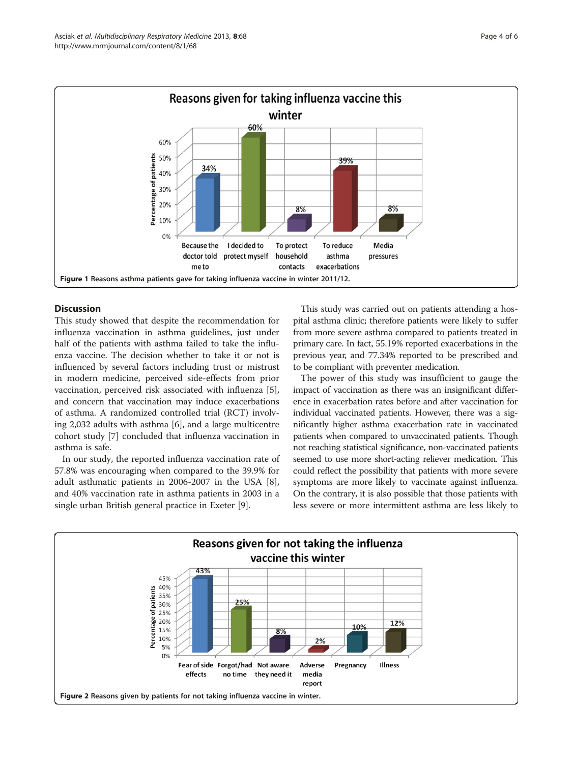<span id="page-3-0"></span>

# Discussion

This study showed that despite the recommendation for influenza vaccination in asthma guidelines, just under half of the patients with asthma failed to take the influenza vaccine. The decision whether to take it or not is influenced by several factors including trust or mistrust in modern medicine, perceived side-effects from prior vaccination, perceived risk associated with influenza [\[5](#page-5-0)], and concern that vaccination may induce exacerbations of asthma. A randomized controlled trial (RCT) involving 2,032 adults with asthma [[6](#page-5-0)], and a large multicentre cohort study [[7](#page-5-0)] concluded that influenza vaccination in asthma is safe.

In our study, the reported influenza vaccination rate of 57.8% was encouraging when compared to the 39.9% for adult asthmatic patients in 2006-2007 in the USA [\[8](#page-5-0)], and 40% vaccination rate in asthma patients in 2003 in a single urban British general practice in Exeter [\[9](#page-5-0)].

This study was carried out on patients attending a hospital asthma clinic; therefore patients were likely to suffer from more severe asthma compared to patients treated in primary care. In fact, 55.19% reported exacerbations in the previous year, and 77.34% reported to be prescribed and to be compliant with preventer medication.

The power of this study was insufficient to gauge the impact of vaccination as there was an insignificant difference in exacerbation rates before and after vaccination for individual vaccinated patients. However, there was a significantly higher asthma exacerbation rate in vaccinated patients when compared to unvaccinated patients. Though not reaching statistical significance, non-vaccinated patients seemed to use more short-acting reliever medication. This could reflect the possibility that patients with more severe symptoms are more likely to vaccinate against influenza. On the contrary, it is also possible that those patients with less severe or more intermittent asthma are less likely to

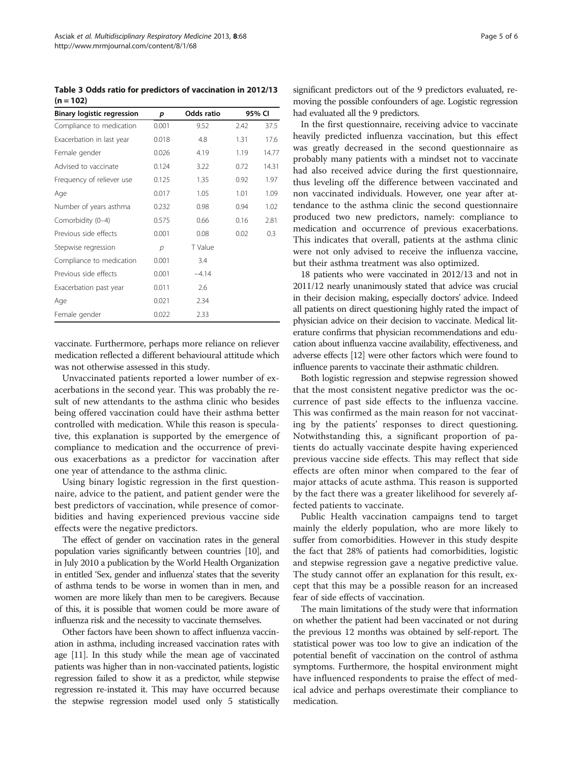<span id="page-4-0"></span>Table 3 Odds ratio for predictors of vaccination in 2012/13  $(n = 102)$ 

| <b>Binary logistic regression</b> | p     | <b>Odds ratio</b> |      | 95% CI |  |
|-----------------------------------|-------|-------------------|------|--------|--|
| Compliance to medication          | 0.001 | 9.52              | 2.42 | 37.5   |  |
| Exacerbation in last year         | 0.018 | 4.8               | 1.31 | 17.6   |  |
| Female gender                     | 0.026 | 4.19              | 1.19 | 14.77  |  |
| Advised to vaccinate              | 0.124 | 3.22              | 0.72 | 14.31  |  |
| Frequency of reliever use         | 0.125 | 1.35              | 0.92 | 1.97   |  |
| Age                               | 0.017 | 1.05              | 1.01 | 1.09   |  |
| Number of years asthma            | 0.232 | 0.98              | 0.94 | 1.02   |  |
| Comorbidity (0-4)                 | 0.575 | 0.66              | 0.16 | 2.81   |  |
| Previous side effects             | 0.001 | 0.08              | 0.02 | 0.3    |  |
| Stepwise regression               | р     | T Value           |      |        |  |
| Compliance to medication          | 0.001 | 3.4               |      |        |  |
| Previous side effects             | 0.001 | $-4.14$           |      |        |  |
| Exacerbation past year            | 0.011 | 2.6               |      |        |  |
| Age                               | 0.021 | 2.34              |      |        |  |
| Female gender                     | 0.022 | 2.33              |      |        |  |

vaccinate. Furthermore, perhaps more reliance on reliever medication reflected a different behavioural attitude which was not otherwise assessed in this study.

Unvaccinated patients reported a lower number of exacerbations in the second year. This was probably the result of new attendants to the asthma clinic who besides being offered vaccination could have their asthma better controlled with medication. While this reason is speculative, this explanation is supported by the emergence of compliance to medication and the occurrence of previous exacerbations as a predictor for vaccination after one year of attendance to the asthma clinic.

Using binary logistic regression in the first questionnaire, advice to the patient, and patient gender were the best predictors of vaccination, while presence of comorbidities and having experienced previous vaccine side effects were the negative predictors.

The effect of gender on vaccination rates in the general population varies significantly between countries [[10\]](#page-5-0), and in July 2010 a publication by the World Health Organization in entitled 'Sex, gender and influenza' states that the severity of asthma tends to be worse in women than in men, and women are more likely than men to be caregivers. Because of this, it is possible that women could be more aware of influenza risk and the necessity to vaccinate themselves.

Other factors have been shown to affect influenza vaccination in asthma, including increased vaccination rates with age [\[11](#page-5-0)]. In this study while the mean age of vaccinated patients was higher than in non-vaccinated patients, logistic regression failed to show it as a predictor, while stepwise regression re-instated it. This may have occurred because the stepwise regression model used only 5 statistically

significant predictors out of the 9 predictors evaluated, removing the possible confounders of age. Logistic regression had evaluated all the 9 predictors.

In the first questionnaire, receiving advice to vaccinate heavily predicted influenza vaccination, but this effect was greatly decreased in the second questionnaire as probably many patients with a mindset not to vaccinate had also received advice during the first questionnaire, thus leveling off the difference between vaccinated and non vaccinated individuals. However, one year after attendance to the asthma clinic the second questionnaire produced two new predictors, namely: compliance to medication and occurrence of previous exacerbations. This indicates that overall, patients at the asthma clinic were not only advised to receive the influenza vaccine, but their asthma treatment was also optimized.

18 patients who were vaccinated in 2012/13 and not in 2011/12 nearly unanimously stated that advice was crucial in their decision making, especially doctors' advice. Indeed all patients on direct questioning highly rated the impact of physician advice on their decision to vaccinate. Medical literature confirms that physician recommendations and education about influenza vaccine availability, effectiveness, and adverse effects [\[12\]](#page-5-0) were other factors which were found to influence parents to vaccinate their asthmatic children.

Both logistic regression and stepwise regression showed that the most consistent negative predictor was the occurrence of past side effects to the influenza vaccine. This was confirmed as the main reason for not vaccinating by the patients' responses to direct questioning. Notwithstanding this, a significant proportion of patients do actually vaccinate despite having experienced previous vaccine side effects. This may reflect that side effects are often minor when compared to the fear of major attacks of acute asthma. This reason is supported by the fact there was a greater likelihood for severely affected patients to vaccinate.

Public Health vaccination campaigns tend to target mainly the elderly population, who are more likely to suffer from comorbidities. However in this study despite the fact that 28% of patients had comorbidities, logistic and stepwise regression gave a negative predictive value. The study cannot offer an explanation for this result, except that this may be a possible reason for an increased fear of side effects of vaccination.

The main limitations of the study were that information on whether the patient had been vaccinated or not during the previous 12 months was obtained by self-report. The statistical power was too low to give an indication of the potential benefit of vaccination on the control of asthma symptoms. Furthermore, the hospital environment might have influenced respondents to praise the effect of medical advice and perhaps overestimate their compliance to medication.